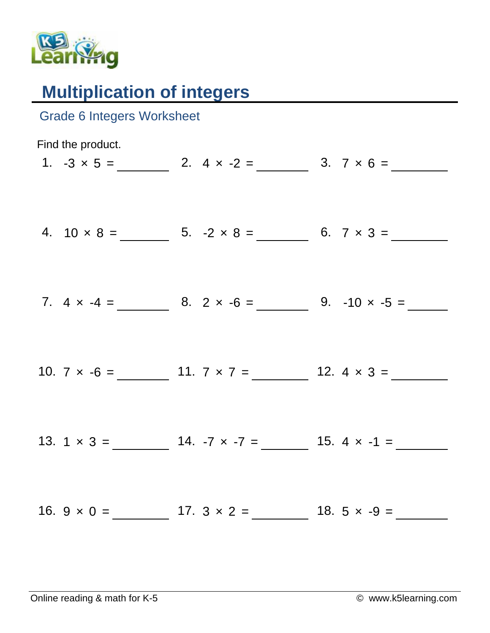

## **Multiplication of integers**

| <b>Grade 6 Integers Worksheet</b> |                                                             |                                                           |
|-----------------------------------|-------------------------------------------------------------|-----------------------------------------------------------|
| Find the product.                 | 1. $-3 \times 5 =$ 2. $4 \times -2 =$ 3. $7 \times 6 =$     |                                                           |
|                                   |                                                             |                                                           |
|                                   | 7. $4 \times -4 =$ 8. $2 \times -6 =$ 9. $-10 \times -5 =$  |                                                           |
|                                   | 10. $7 \times -6 =$ 11. $7 \times 7 =$ 12. $4 \times 3 =$   |                                                           |
|                                   | 13. $1 \times 3 =$ 14. $-7 \times -7 =$ 15. $4 \times -1 =$ |                                                           |
|                                   |                                                             | 16. $9 \times 0 =$ 17. $3 \times 2 =$ 18. $5 \times -9 =$ |